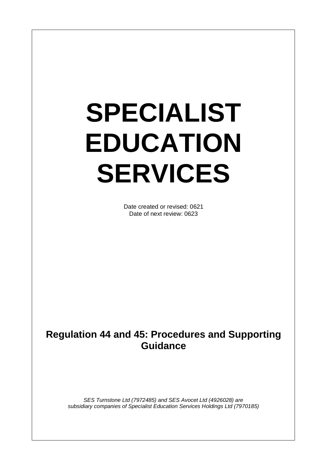# **SPECIALIST EDUCATION SERVICES**

Date created or revised: 0621 Date of next review: 0623

# **Regulation 44 and 45: Procedures and Supporting Guidance**

*SES Turnstone Ltd (7972485) and SES Avocet Ltd (4926028) are subsidiary companies of Specialist Education Services Holdings Ltd (7970185)*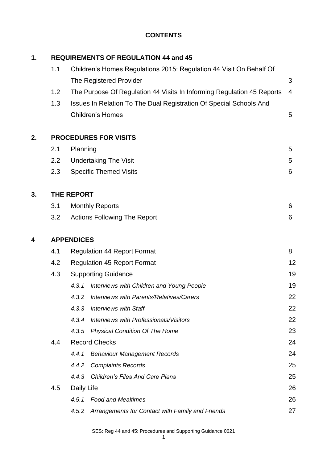# **CONTENTS**

| 1. |                   | <b>REQUIREMENTS OF REGULATION 44 and 45</b>     |                                                                        |                |  |  |  |  |
|----|-------------------|-------------------------------------------------|------------------------------------------------------------------------|----------------|--|--|--|--|
|    | 1.1               |                                                 | Children's Homes Regulations 2015: Regulation 44 Visit On Behalf Of    |                |  |  |  |  |
|    |                   |                                                 | The Registered Provider                                                | 3              |  |  |  |  |
|    | 1.2               |                                                 | The Purpose Of Regulation 44 Visits In Informing Regulation 45 Reports | $\overline{4}$ |  |  |  |  |
|    | 1.3               |                                                 | Issues In Relation To The Dual Registration Of Special Schools And     |                |  |  |  |  |
|    |                   |                                                 | <b>Children's Homes</b>                                                | 5              |  |  |  |  |
| 2. |                   |                                                 | <b>PROCEDURES FOR VISITS</b>                                           |                |  |  |  |  |
|    | 2.1               | Planning                                        |                                                                        | 5              |  |  |  |  |
|    | 2.2               |                                                 | <b>Undertaking The Visit</b>                                           | 5              |  |  |  |  |
|    | 2.3               |                                                 | <b>Specific Themed Visits</b>                                          | 6              |  |  |  |  |
| 3. |                   | <b>THE REPORT</b>                               |                                                                        |                |  |  |  |  |
|    | 3.1               |                                                 | <b>Monthly Reports</b>                                                 | 6              |  |  |  |  |
|    | 3.2               |                                                 | <b>Actions Following The Report</b>                                    | 6              |  |  |  |  |
| 4  | <b>APPENDICES</b> |                                                 |                                                                        |                |  |  |  |  |
|    | 4.1               | <b>Regulation 44 Report Format</b><br>8<br>12   |                                                                        |                |  |  |  |  |
|    | 4.2               | <b>Regulation 45 Report Format</b>              |                                                                        |                |  |  |  |  |
|    | 4.3               |                                                 | <b>Supporting Guidance</b>                                             |                |  |  |  |  |
|    |                   | 4.3.1                                           | Interviews with Children and Young People                              | 19             |  |  |  |  |
|    |                   | 4.3.2                                           | Interviews with Parents/Relatives/Carers                               | 22             |  |  |  |  |
|    |                   | 4.3.3                                           | <b>Interviews with Staff</b>                                           | 22             |  |  |  |  |
|    |                   | 4.3.4                                           | Interviews with Professionals/Visitors                                 | 22             |  |  |  |  |
|    |                   | 4.3.5                                           | <b>Physical Condition Of The Home</b>                                  | 23             |  |  |  |  |
|    | 4.4               |                                                 | <b>Record Checks</b>                                                   | 24             |  |  |  |  |
|    |                   | 4.4.1                                           | <b>Behaviour Management Records</b>                                    | 24             |  |  |  |  |
|    |                   | 4.4.2                                           | <b>Complaints Records</b>                                              | 25             |  |  |  |  |
|    |                   | <b>Children's Files And Care Plans</b><br>4.4.3 |                                                                        |                |  |  |  |  |
|    | 4.5               | Daily Life                                      |                                                                        | 26             |  |  |  |  |
|    |                   | 4.5.1                                           | <b>Food and Mealtimes</b>                                              | 26             |  |  |  |  |
|    |                   | 4.5.2                                           | Arrangements for Contact with Family and Friends                       | 27             |  |  |  |  |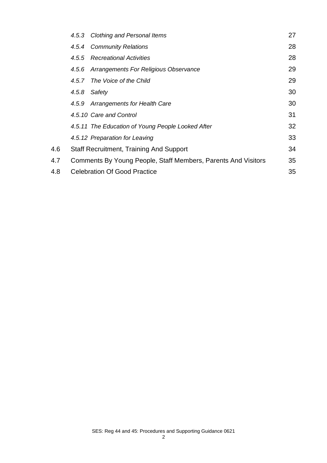|     | 4.5.3 Clothing and Personal Items                             | 27 |
|-----|---------------------------------------------------------------|----|
|     | 4.5.4 Community Relations                                     | 28 |
|     | 4.5.5 Recreational Activities                                 | 28 |
|     | 4.5.6 Arrangements For Religious Observance                   | 29 |
|     | The Voice of the Child<br>4.5.7                               | 29 |
|     | 4.5.8<br>Safety                                               | 30 |
|     | 4.5.9 Arrangements for Health Care                            | 30 |
|     | 4.5.10 Care and Control                                       | 31 |
|     | 4.5.11 The Education of Young People Looked After             | 32 |
|     | 4.5.12 Preparation for Leaving                                | 33 |
| 4.6 | <b>Staff Recruitment, Training And Support</b>                | 34 |
| 4.7 | Comments By Young People, Staff Members, Parents And Visitors | 35 |
| 4.8 | <b>Celebration Of Good Practice</b>                           | 35 |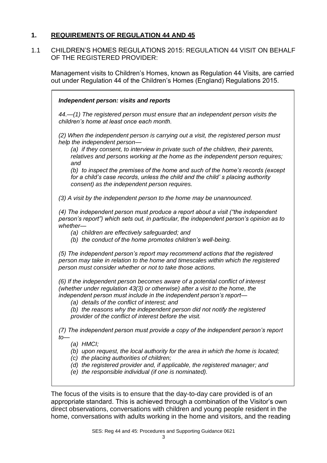# **1. REQUIREMENTS OF REGULATION 44 AND 45**

1.1 CHILDREN'S HOMES REGULATIONS 2015: REGULATION 44 VISIT ON BEHALF OF THE REGISTERED PROVIDER:

Management visits to Children's Homes, known as Regulation 44 Visits, are carried out under Regulation 44 of the Children's Homes (England) Regulations 2015.

| Independent person: visits and reports                                                                                                                                                                                                                                                                                                                                                                                                                                                                               |
|----------------------------------------------------------------------------------------------------------------------------------------------------------------------------------------------------------------------------------------------------------------------------------------------------------------------------------------------------------------------------------------------------------------------------------------------------------------------------------------------------------------------|
| 44.—(1) The registered person must ensure that an independent person visits the<br>children's home at least once each month.                                                                                                                                                                                                                                                                                                                                                                                         |
| (2) When the independent person is carrying out a visit, the registered person must<br>help the independent person-<br>(a) if they consent, to interview in private such of the children, their parents,<br>relatives and persons working at the home as the independent person requires;<br>and<br>(b) to inspect the premises of the home and such of the home's records (except<br>for a child's case records, unless the child and the child's placing authority<br>consent) as the independent person requires. |
| (3) A visit by the independent person to the home may be unannounced.                                                                                                                                                                                                                                                                                                                                                                                                                                                |
| (4) The independent person must produce a report about a visit ("the independent<br>person's report") which sets out, in particular, the independent person's opinion as to<br>whether-<br>(a) children are effectively safeguarded; and<br>(b) the conduct of the home promotes children's well-being.                                                                                                                                                                                                              |
| (5) The independent person's report may recommend actions that the registered<br>person may take in relation to the home and timescales within which the registered<br>person must consider whether or not to take those actions.                                                                                                                                                                                                                                                                                    |
| (6) If the independent person becomes aware of a potential conflict of interest<br>(whether under regulation 43(3) or otherwise) after a visit to the home, the<br>independent person must include in the independent person's report—<br>(a) details of the conflict of interest; and<br>(b) the reasons why the independent person did not notify the registered<br>provider of the conflict of interest before the visit.                                                                                         |
| (7) The independent person must provide a copy of the independent person's report<br>$to-$<br>$(a)$ HMCI;<br>(b) upon request, the local authority for the area in which the home is located;<br>(c) the placing authorities of children;<br>(d) the registered provider and, if applicable, the registered manager; and<br>(e) the responsible individual (if one is nominated).                                                                                                                                    |

The focus of the visits is to ensure that the day-to-day care provided is of an appropriate standard. This is achieved through a combination of the Visitor's own direct observations, conversations with children and young people resident in the home, conversations with adults working in the home and visitors, and the reading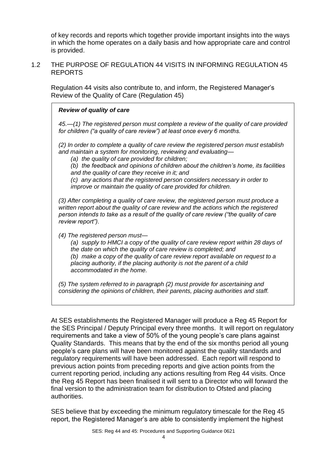of key records and reports which together provide important insights into the ways in which the home operates on a daily basis and how appropriate care and control is provided.

#### 1.2 THE PURPOSE OF REGULATION 44 VISITS IN INFORMING REGULATION 45 REPORTS

Regulation 44 visits also contribute to, and inform, the Registered Manager's Review of the Quality of Care (Regulation 45)

#### *Review of quality of care*

*45.—(1) The registered person must complete a review of the quality of care provided for children ("a quality of care review") at least once every 6 months.* 

*(2) In order to complete a quality of care review the registered person must establish and maintain a system for monitoring, reviewing and evaluating—*

*(a) the quality of care provided for children;* 

*(b) the feedback and opinions of children about the children's home, its facilities and the quality of care they receive in it; and* 

*(c) any actions that the registered person considers necessary in order to improve or maintain the quality of care provided for children.* 

*(3) After completing a quality of care review, the registered person must produce a written report about the quality of care review and the actions which the registered person intends to take as a result of the quality of care review ("the quality of care review report").* 

*(4) The registered person must—*

*(a) supply to HMCI a copy of the quality of care review report within 28 days of the date on which the quality of care review is completed; and* 

*(b) make a copy of the quality of care review report available on request to a placing authority, if the placing authority is not the parent of a child accommodated in the home.* 

*(5) The system referred to in paragraph (2) must provide for ascertaining and considering the opinions of children, their parents, placing authorities and staff.* 

At SES establishments the Registered Manager will produce a Reg 45 Report for the SES Principal / Deputy Principal every three months. It will report on regulatory requirements and take a view of 50% of the young people's care plans against Quality Standards. This means that by the end of the six months period all young people's care plans will have been monitored against the quality standards and regulatory requirements will have been addressed. Each report will respond to previous action points from preceding reports and give action points from the current reporting period, including any actions resulting from Reg 44 visits. Once the Reg 45 Report has been finalised it will sent to a Director who will forward the final version to the administration team for distribution to Ofsted and placing authorities.

SES believe that by exceeding the minimum regulatory timescale for the Reg 45 report, the Registered Manager's are able to consistently implement the highest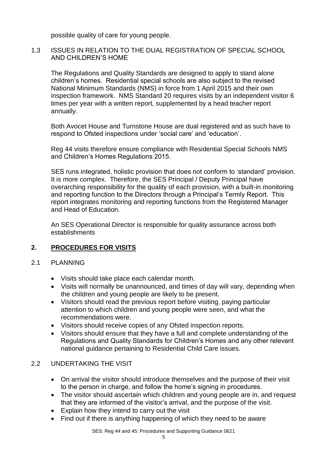possible quality of care for young people.

#### 1.3 ISSUES IN RELATION TO THE DUAL REGISTRATION OF SPECIAL SCHOOL AND CHILDREN'S HOME

The Regulations and Quality Standards are designed to apply to stand alone children's homes. Residential special schools are also subject to the revised National Minimum Standards (NMS) in force from 1 April 2015 and their own inspection framework. NMS Standard 20 requires visits by an independent visitor 6 times per year with a written report, supplemented by a head teacher report annually.

Both Avocet House and Turnstone House are dual registered and as such have to respond to Ofsted inspections under 'social care' and 'education'.

Reg 44 visits therefore ensure compliance with Residential Special Schools NMS and Children's Homes Regulations 2015.

SES runs integrated, holistic provision that does not conform to 'standard' provision. It is more complex. Therefore, the SES Principal / Deputy Principal have overarching responsibility for the quality of each provision, with a built-in monitoring and reporting function to the Directors through a Principal's Termly Report. This report integrates monitoring and reporting functions from the Registered Manager and Head of Education.

An SES Operational Director is responsible for quality assurance across both establishments

# **2. PROCEDURES FOR VISITS**

#### 2.1 PLANNING

- Visits should take place each calendar month.
- Visits will normally be unannounced, and times of day will vary, depending when the children and young people are likely to be present.
- Visitors should read the previous report before visiting, paying particular attention to which children and young people were seen, and what the recommendations were.
- Visitors should receive copies of any Ofsted inspection reports.
- Visitors should ensure that they have a full and complete understanding of the Regulations and Quality Standards for Children's Homes and any other relevant national guidance pertaining to Residential Child Care issues.

#### 2.2 UNDERTAKING THE VISIT

- On arrival the visitor should introduce themselves and the purpose of their visit to the person in charge, and follow the home's signing in procedures.
- The visitor should ascertain which children and young people are in, and request that they are informed of the visitor's arrival, and the purpose of the visit.
- Explain how they intend to carry out the visit
- Find out if there is anything happening of which they need to be aware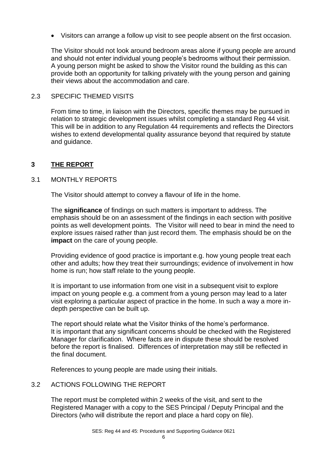• Visitors can arrange a follow up visit to see people absent on the first occasion.

The Visitor should not look around bedroom areas alone if young people are around and should not enter individual young people's bedrooms without their permission. A young person might be asked to show the Visitor round the building as this can provide both an opportunity for talking privately with the young person and gaining their views about the accommodation and care.

#### 2.3 SPECIFIC THEMED VISITS

From time to time, in liaison with the Directors, specific themes may be pursued in relation to strategic development issues whilst completing a standard Reg 44 visit. This will be in addition to any Regulation 44 requirements and reflects the Directors wishes to extend developmental quality assurance beyond that required by statute and guidance.

#### **3 THE REPORT**

#### 3.1 MONTHLY REPORTS

The Visitor should attempt to convey a flavour of life in the home.

The **significance** of findings on such matters is important to address. The emphasis should be on an assessment of the findings in each section with positive points as well development points. The Visitor will need to bear in mind the need to explore issues raised rather than just record them. The emphasis should be on the **impact** on the care of young people.

Providing evidence of good practice is important e.g. how young people treat each other and adults; how they treat their surroundings; evidence of involvement in how home is run; how staff relate to the young people.

It is important to use information from one visit in a subsequent visit to explore impact on young people e.g. a comment from a young person may lead to a later visit exploring a particular aspect of practice in the home. In such a way a more indepth perspective can be built up.

The report should relate what the Visitor thinks of the home's performance. It is important that any significant concerns should be checked with the Registered Manager for clarification. Where facts are in dispute these should be resolved before the report is finalised. Differences of interpretation may still be reflected in the final document.

References to young people are made using their initials.

#### 3.2 ACTIONS FOLLOWING THE REPORT

The report must be completed within 2 weeks of the visit, and sent to the Registered Manager with a copy to the SES Principal / Deputy Principal and the Directors (who will distribute the report and place a hard copy on file).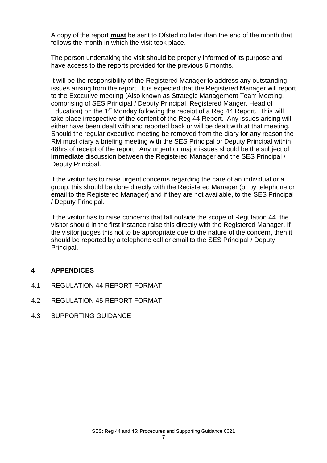A copy of the report **must** be sent to Ofsted no later than the end of the month that follows the month in which the visit took place.

The person undertaking the visit should be properly informed of its purpose and have access to the reports provided for the previous 6 months.

It will be the responsibility of the Registered Manager to address any outstanding issues arising from the report. It is expected that the Registered Manager will report to the Executive meeting (Also known as Strategic Management Team Meeting, comprising of SES Principal / Deputy Principal, Registered Manger, Head of Education) on the 1<sup>st</sup> Monday following the receipt of a Reg 44 Report. This will take place irrespective of the content of the Reg 44 Report. Any issues arising will either have been dealt with and reported back or will be dealt with at that meeting. Should the regular executive meeting be removed from the diary for any reason the RM must diary a briefing meeting with the SES Principal or Deputy Principal within 48hrs of receipt of the report. Any urgent or major issues should be the subject of **immediate** discussion between the Registered Manager and the SES Principal / Deputy Principal.

If the visitor has to raise urgent concerns regarding the care of an individual or a group, this should be done directly with the Registered Manager (or by telephone or email to the Registered Manager) and if they are not available, to the SES Principal / Deputy Principal.

If the visitor has to raise concerns that fall outside the scope of Regulation 44, the visitor should in the first instance raise this directly with the Registered Manager. If the visitor judges this not to be appropriate due to the nature of the concern, then it should be reported by a telephone call or email to the SES Principal / Deputy Principal.

#### **4 APPENDICES**

- 4.1 REGULATION 44 REPORT FORMAT
- 4.2 REGULATION 45 REPORT FORMAT
- 4.3 SUPPORTING GUIDANCE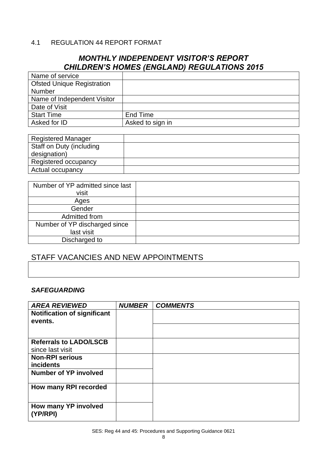#### 4.1 REGULATION 44 REPORT FORMAT

# *MONTHLY INDEPENDENT VISITOR'S REPORT CHILDREN'S HOMES (ENGLAND) REGULATIONS 2015*

| Name of service                   |                  |
|-----------------------------------|------------------|
| <b>Ofsted Unique Registration</b> |                  |
| Number                            |                  |
| Name of Independent Visitor       |                  |
| Date of Visit                     |                  |
| <b>Start Time</b>                 | End Time         |
| Asked for ID                      | Asked to sign in |

| <b>Registered Manager</b> |  |
|---------------------------|--|
| Staff on Duty (including  |  |
| designation)              |  |
| Registered occupancy      |  |
| Actual occupancy          |  |

| Number of YP admitted since last<br>visit |  |
|-------------------------------------------|--|
| Ages                                      |  |
| Gender                                    |  |
| Admitted from                             |  |
| Number of YP discharged since             |  |
| last visit                                |  |
| Discharged to                             |  |

# STAFF VACANCIES AND NEW APPOINTMENTS

#### *SAFEGUARDING*

| <b>AREA REVIEWED</b>                          | <b>NUMBER</b> | <b>COMMENTS</b> |
|-----------------------------------------------|---------------|-----------------|
| <b>Notification of significant</b><br>events. |               |                 |
|                                               |               |                 |
| <b>Referrals to LADO/LSCB</b>                 |               |                 |
| since last visit                              |               |                 |
| <b>Non-RPI serious</b>                        |               |                 |
| <b>incidents</b>                              |               |                 |
| <b>Number of YP involved</b>                  |               |                 |
| How many RPI recorded                         |               |                 |
| How many YP involved<br>(YP/RPI)              |               |                 |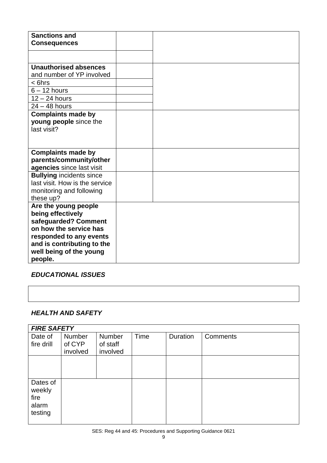*EDUCATIONAL ISSUES*

# *HEALTH AND SAFETY*

|                                                | <b>FIRE SAFETY</b>           |                                |      |          |          |  |
|------------------------------------------------|------------------------------|--------------------------------|------|----------|----------|--|
| Date of<br>fire drill                          | Number<br>of CYP<br>involved | Number<br>of staff<br>involved | Time | Duration | Comments |  |
|                                                |                              |                                |      |          |          |  |
| Dates of<br>weekly<br>fire<br>alarm<br>testing |                              |                                |      |          |          |  |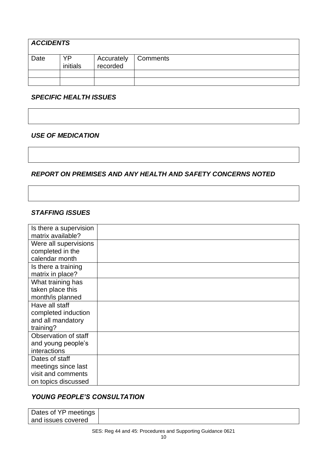| <b>ACCIDENTS</b> |                |                        |          |  |
|------------------|----------------|------------------------|----------|--|
| Date             | YP<br>initials | Accurately<br>recorded | Comments |  |
|                  |                |                        |          |  |
|                  |                |                        |          |  |

# *SPECIFIC HEALTH ISSUES*

#### *USE OF MEDICATION*

# *REPORT ON PREMISES AND ANY HEALTH AND SAFETY CONCERNS NOTED*

#### *STAFFING ISSUES*

| Is there a supervision |  |
|------------------------|--|
| matrix available?      |  |
| Were all supervisions  |  |
| completed in the       |  |
| calendar month         |  |
| Is there a training    |  |
| matrix in place?       |  |
| What training has      |  |
| taken place this       |  |
| month/is planned       |  |
| Have all staff         |  |
| completed induction    |  |
| and all mandatory      |  |
| training?              |  |
| Observation of staff   |  |
| and young people's     |  |
| interactions           |  |
| Dates of staff         |  |
| meetings since last    |  |
| visit and comments     |  |
| on topics discussed    |  |

# *YOUNG PEOPLE'S CONSULTATION*

| Dates of YP meetings |  |
|----------------------|--|
| and issues covered   |  |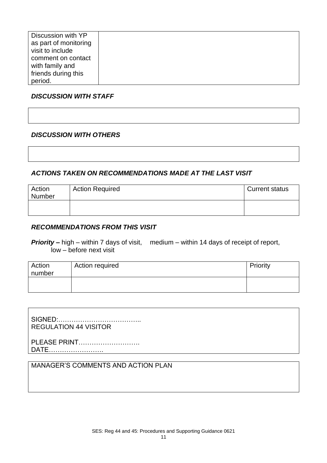| Discussion with YP<br>as part of monitoring<br>visit to include<br>comment on contact |  |
|---------------------------------------------------------------------------------------|--|
| with family and                                                                       |  |
| friends during this                                                                   |  |
| period.                                                                               |  |

#### *DISCUSSION WITH STAFF*

#### *DISCUSSION WITH OTHERS*

#### *ACTIONS TAKEN ON RECOMMENDATIONS MADE AT THE LAST VISIT*

| Action<br>Number | <b>Action Required</b> | <b>Current status</b> |
|------------------|------------------------|-----------------------|
|                  |                        |                       |

#### *RECOMMENDATIONS FROM THIS VISIT*

**Priority** – high – within 7 days of visit, medium – within 14 days of receipt of report, low – before next visit

| Action<br>number | Action required | Priority |
|------------------|-----------------|----------|
|                  |                 |          |

SIGNED:……………………………….. REGULATION 44 VISITOR

PLEASE PRINT………………………. DATE…………………….

# MANAGER'S COMMENTS AND ACTION PLAN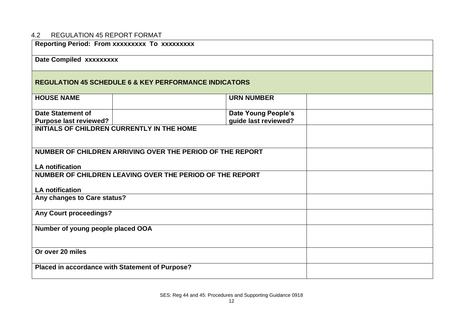# 4.2 REGULATION 45 REPORT FORMAT

| Reporting Period: From xxxxxxxxx To xxxxxxxxx                                       |                            |  |  |  |
|-------------------------------------------------------------------------------------|----------------------------|--|--|--|
| Date Compiled xxxxxxxxx                                                             |                            |  |  |  |
| <b>REGULATION 45 SCHEDULE 6 &amp; KEY PERFORMANCE INDICATORS</b>                    |                            |  |  |  |
| <b>HOUSE NAME</b>                                                                   | <b>URN NUMBER</b>          |  |  |  |
| <b>Date Statement of</b>                                                            | <b>Date Young People's</b> |  |  |  |
| <b>Purpose last reviewed?</b>                                                       | guide last reviewed?       |  |  |  |
| <b>INITIALS OF CHILDREN CURRENTLY IN THE HOME</b>                                   |                            |  |  |  |
| NUMBER OF CHILDREN ARRIVING OVER THE PERIOD OF THE REPORT<br><b>LA notification</b> |                            |  |  |  |
| NUMBER OF CHILDREN LEAVING OVER THE PERIOD OF THE REPORT<br><b>LA notification</b>  |                            |  |  |  |
| Any changes to Care status?                                                         |                            |  |  |  |
| <b>Any Court proceedings?</b>                                                       |                            |  |  |  |
| Number of young people placed OOA                                                   |                            |  |  |  |
| Or over 20 miles                                                                    |                            |  |  |  |
| Placed in accordance with Statement of Purpose?                                     |                            |  |  |  |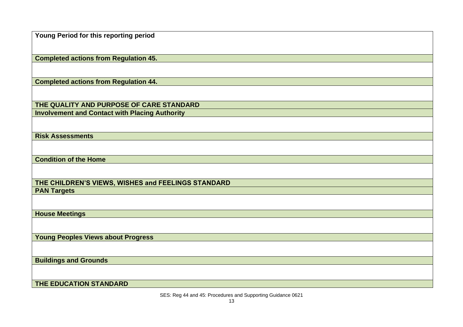**Young Period for this reporting period**

**Completed actions from Regulation 45.**

**Completed actions from Regulation 44.**

**THE QUALITY AND PURPOSE OF CARE STANDARD Involvement and Contact with Placing Authority**

**Risk Assessments**

**Condition of the Home**

**THE CHILDREN'S VIEWS, WISHES and FEELINGS STANDARD PAN Targets**

**House Meetings**

**Young Peoples Views about Progress**

**Buildings and Grounds**

**THE EDUCATION STANDARD**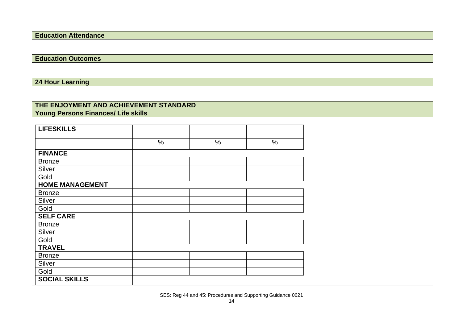| <b>Education Attendance</b>                |               |      |      |
|--------------------------------------------|---------------|------|------|
|                                            |               |      |      |
|                                            |               |      |      |
| <b>Education Outcomes</b>                  |               |      |      |
|                                            |               |      |      |
|                                            |               |      |      |
| 24 Hour Learning                           |               |      |      |
|                                            |               |      |      |
|                                            |               |      |      |
| THE ENJOYMENT AND ACHIEVEMENT STANDARD     |               |      |      |
| <b>Young Persons Finances/ Life skills</b> |               |      |      |
|                                            |               |      |      |
| <b>LIFESKILLS</b>                          |               |      |      |
|                                            |               |      |      |
|                                            | $\frac{0}{0}$ | $\%$ | $\%$ |
| <b>FINANCE</b>                             |               |      |      |
| <b>Bronze</b>                              |               |      |      |
| Silver                                     |               |      |      |
| Gold                                       |               |      |      |
| <b>HOME MANAGEMENT</b>                     |               |      |      |
| <b>Bronze</b>                              |               |      |      |
| Silver                                     |               |      |      |
| Gold                                       |               |      |      |
| <b>SELF CARE</b>                           |               |      |      |
| <b>Bronze</b>                              |               |      |      |
| Silver                                     |               |      |      |
| Gold                                       |               |      |      |
| <b>TRAVEL</b>                              |               |      |      |
| <b>Bronze</b>                              |               |      |      |
| Silver                                     |               |      |      |
| Gold                                       |               |      |      |
| <b>SOCIAL SKILLS</b>                       |               |      |      |
|                                            |               |      |      |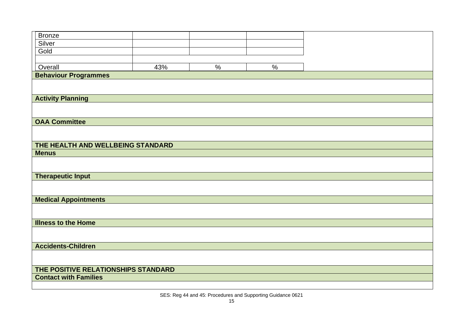| <b>Bronze</b>                       |     |      |      |  |
|-------------------------------------|-----|------|------|--|
|                                     |     |      |      |  |
| Silver                              |     |      |      |  |
| Gold                                |     |      |      |  |
|                                     |     |      |      |  |
| Overall                             | 43% | $\%$ | $\%$ |  |
| <b>Behaviour Programmes</b>         |     |      |      |  |
|                                     |     |      |      |  |
|                                     |     |      |      |  |
| <b>Activity Planning</b>            |     |      |      |  |
|                                     |     |      |      |  |
|                                     |     |      |      |  |
| <b>OAA Committee</b>                |     |      |      |  |
|                                     |     |      |      |  |
|                                     |     |      |      |  |
| THE HEALTH AND WELLBEING STANDARD   |     |      |      |  |
| <b>Menus</b>                        |     |      |      |  |
|                                     |     |      |      |  |
|                                     |     |      |      |  |
| <b>Therapeutic Input</b>            |     |      |      |  |
|                                     |     |      |      |  |
|                                     |     |      |      |  |
| <b>Medical Appointments</b>         |     |      |      |  |
|                                     |     |      |      |  |
|                                     |     |      |      |  |
| <b>Illness to the Home</b>          |     |      |      |  |
|                                     |     |      |      |  |
|                                     |     |      |      |  |
| <b>Accidents-Children</b>           |     |      |      |  |
|                                     |     |      |      |  |
|                                     |     |      |      |  |
| THE POSITIVE RELATIONSHIPS STANDARD |     |      |      |  |
| <b>Contact with Families</b>        |     |      |      |  |
|                                     |     |      |      |  |
|                                     |     |      |      |  |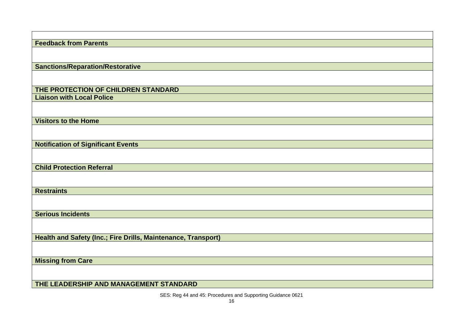| <b>Feedback from Parents</b>                                  |
|---------------------------------------------------------------|
|                                                               |
|                                                               |
| <b>Sanctions/Reparation/Restorative</b>                       |
|                                                               |
|                                                               |
| THE PROTECTION OF CHILDREN STANDARD                           |
| <b>Liaison with Local Police</b>                              |
|                                                               |
| <b>Visitors to the Home</b>                                   |
|                                                               |
|                                                               |
| <b>Notification of Significant Events</b>                     |
|                                                               |
|                                                               |
| <b>Child Protection Referral</b>                              |
|                                                               |
|                                                               |
| <b>Restraints</b>                                             |
|                                                               |
|                                                               |
| <b>Serious Incidents</b>                                      |
|                                                               |
|                                                               |
| Health and Safety (Inc.; Fire Drills, Maintenance, Transport) |
|                                                               |
| <b>Missing from Care</b>                                      |
|                                                               |
|                                                               |
| THE LEADERSHIP AND MANAGEMENT STANDARD                        |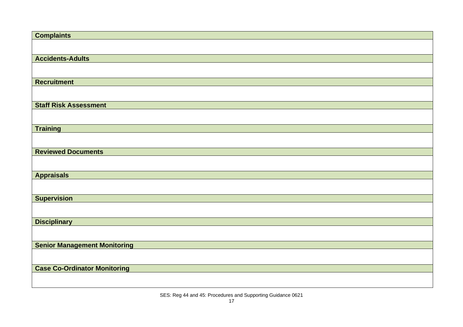| <b>Complaints</b>                   |
|-------------------------------------|
|                                     |
|                                     |
| <b>Accidents-Adults</b>             |
|                                     |
| <b>Recruitment</b>                  |
|                                     |
|                                     |
| <b>Staff Risk Assessment</b>        |
|                                     |
| <b>Training</b>                     |
|                                     |
|                                     |
| <b>Reviewed Documents</b>           |
|                                     |
| <b>Appraisals</b>                   |
|                                     |
|                                     |
| <b>Supervision</b>                  |
|                                     |
| <b>Disciplinary</b>                 |
|                                     |
|                                     |
| <b>Senior Management Monitoring</b> |
|                                     |
| <b>Case Co-Ordinator Monitoring</b> |
|                                     |
|                                     |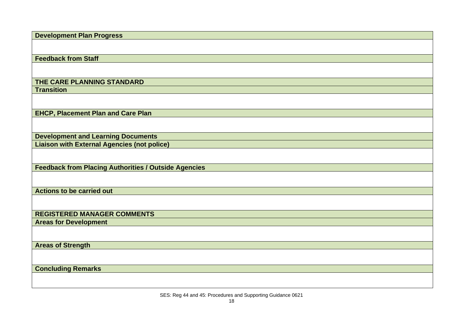**Development Plan Progress**

**Feedback from Staff**

# **THE CARE PLANNING STANDARD**

**Transition**

**EHCP, Placement Plan and Care Plan**

**Development and Learning Documents**

**Liaison with External Agencies (not police)**

**Feedback from Placing Authorities / Outside Agencies**

**Actions to be carried out**

**REGISTERED MANAGER COMMENTS**

**Areas for Development**

**Areas of Strength**

**Concluding Remarks**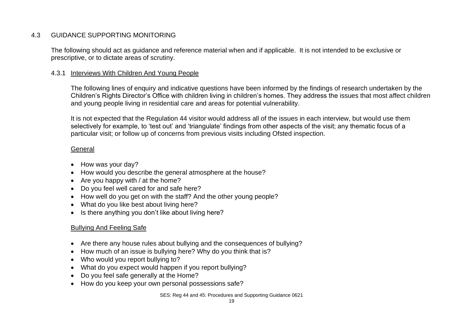# 4.3 GUIDANCE SUPPORTING MONITORING

The following should act as guidance and reference material when and if applicable. It is not intended to be exclusive or prescriptive, or to dictate areas of scrutiny.

#### 4.3.1 Interviews With Children And Young People

The following lines of enquiry and indicative questions have been informed by the findings of research undertaken by the Children's Rights Director's Office with children living in children's homes. They address the issues that most affect children and young people living in residential care and areas for potential vulnerability.

It is not expected that the Regulation 44 visitor would address all of the issues in each interview, but would use them selectively for example, to 'test out' and 'triangulate' findings from other aspects of the visit; any thematic focus of a particular visit; or follow up of concerns from previous visits including Ofsted inspection.

#### General

- How was your day?
- How would you describe the general atmosphere at the house?
- Are you happy with / at the home?
- Do you feel well cared for and safe here?
- How well do you get on with the staff? And the other young people?
- What do you like best about living here?
- Is there anything you don't like about living here?

#### Bullying And Feeling Safe

- Are there any house rules about bullying and the consequences of bullying?
- How much of an issue is bullying here? Why do you think that is?
- Who would you report bullying to?
- What do you expect would happen if you report bullying?
- Do you feel safe generally at the Home?
- How do you keep your own personal possessions safe?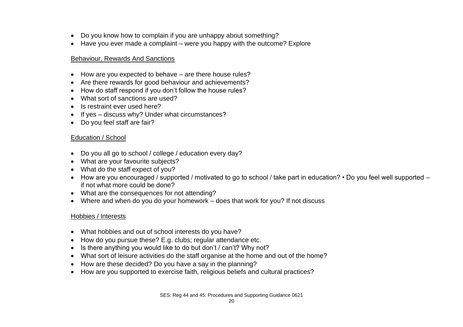- Do you know how to complain if you are unhappy about something?
- Have you ever made a complaint were you happy with the outcome? Explore

#### Behaviour, Rewards And Sanctions

- How are you expected to behave are there house rules?
- Are there rewards for good behaviour and achievements?
- How do staff respond if you don't follow the house rules?
- What sort of sanctions are used?
- Is restraint ever used here?
- If yes discuss why? Under what circumstances?
- Do you feel staff are fair?

#### Education / School

- Do you all go to school / college / education every day?
- What are your favourite subjects?
- What do the staff expect of you?
- How are you encouraged / supported / motivated to go to school / take part in education? Do you feel well supported if not what more could be done?
- What are the consequences for not attending?
- Where and when do you do your homework does that work for you? If not discuss

#### Hobbies / Interests

- What hobbies and out of school interests do you have?
- How do you pursue these? E.g. clubs; regular attendance etc.
- Is there anything you would like to do but don't / can't? Why not?
- What sort of leisure activities do the staff organise at the home and out of the home?
- How are these decided? Do you have a say in the planning?
- How are you supported to exercise faith, religious beliefs and cultural practices?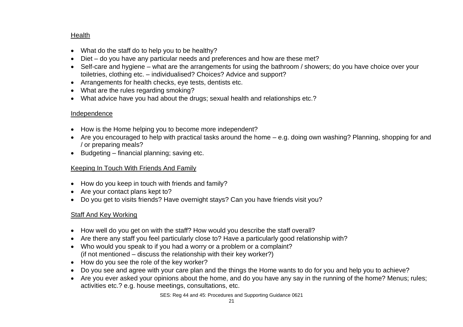# **Health**

- What do the staff do to help you to be healthy?
- Diet do you have any particular needs and preferences and how are these met?
- Self-care and hygiene what are the arrangements for using the bathroom / showers; do you have choice over your toiletries, clothing etc. – individualised? Choices? Advice and support?
- Arrangements for health checks, eye tests, dentists etc.
- What are the rules regarding smoking?
- What advice have you had about the drugs; sexual health and relationships etc.?

#### Independence

- How is the Home helping you to become more independent?
- Are you encouraged to help with practical tasks around the home e.g. doing own washing? Planning, shopping for and / or preparing meals?
- Budgeting financial planning; saving etc.

#### Keeping In Touch With Friends And Family

- How do you keep in touch with friends and family?
- Are your contact plans kept to?
- Do you get to visits friends? Have overnight stays? Can you have friends visit you?

# Staff And Key Working

- How well do you get on with the staff? How would you describe the staff overall?
- Are there any staff you feel particularly close to? Have a particularly good relationship with?
- Who would you speak to if you had a worry or a problem or a complaint? (if not mentioned – discuss the relationship with their key worker?)
- How do you see the role of the key worker?
- Do you see and agree with your care plan and the things the Home wants to do for you and help you to achieve?
- Are you ever asked your opinions about the home, and do you have any say in the running of the home? Menus; rules; activities etc.? e.g. house meetings, consultations, etc.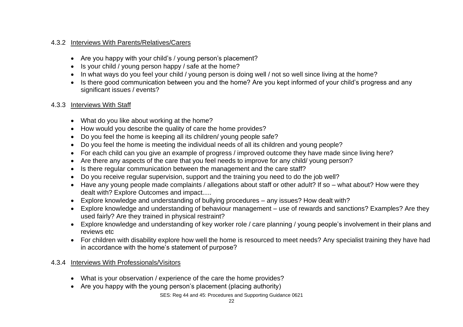# 4.3.2 Interviews With Parents/Relatives/Carers

- Are you happy with your child's / young person's placement?
- Is your child / young person happy / safe at the home?
- In what ways do you feel your child / young person is doing well / not so well since living at the home?
- Is there good communication between you and the home? Are you kept informed of your child's progress and any significant issues / events?

#### 4.3.3 Interviews With Staff

- What do you like about working at the home?
- How would you describe the quality of care the home provides?
- Do you feel the home is keeping all its children/ young people safe?
- Do you feel the home is meeting the individual needs of all its children and young people?
- For each child can you give an example of progress / improved outcome they have made since living here?
- Are there any aspects of the care that you feel needs to improve for any child/ young person?
- Is there regular communication between the management and the care staff?
- Do you receive regular supervision, support and the training you need to do the job well?
- Have any young people made complaints / allegations about staff or other adult? If so what about? How were they dealt with? Explore Outcomes and impact.....
- Explore knowledge and understanding of bullying procedures any issues? How dealt with?
- Explore knowledge and understanding of behaviour management use of rewards and sanctions? Examples? Are they used fairly? Are they trained in physical restraint?
- Explore knowledge and understanding of key worker role / care planning / young people's involvement in their plans and reviews etc
- For children with disability explore how well the home is resourced to meet needs? Any specialist training they have had in accordance with the home's statement of purpose?

#### 4.3.4 Interviews With Professionals/Visitors

- What is your observation / experience of the care the home provides?
- Are you happy with the young person's placement (placing authority)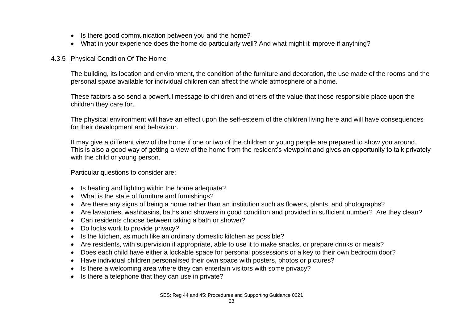- Is there good communication between you and the home?
- What in your experience does the home do particularly well? And what might it improve if anything?

#### 4.3.5 Physical Condition Of The Home

The building, its location and environment, the condition of the furniture and decoration, the use made of the rooms and the personal space available for individual children can affect the whole atmosphere of a home.

These factors also send a powerful message to children and others of the value that those responsible place upon the children they care for.

The physical environment will have an effect upon the self-esteem of the children living here and will have consequences for their development and behaviour.

It may give a different view of the home if one or two of the children or young people are prepared to show you around. This is also a good way of getting a view of the home from the resident's viewpoint and gives an opportunity to talk privately with the child or young person.

Particular questions to consider are:

- Is heating and lighting within the home adequate?
- What is the state of furniture and furnishings?
- Are there any signs of being a home rather than an institution such as flowers, plants, and photographs?
- Are lavatories, washbasins, baths and showers in good condition and provided in sufficient number? Are they clean?
- Can residents choose between taking a bath or shower?
- Do locks work to provide privacy?
- Is the kitchen, as much like an ordinary domestic kitchen as possible?
- Are residents, with supervision if appropriate, able to use it to make snacks, or prepare drinks or meals?
- Does each child have either a lockable space for personal possessions or a key to their own bedroom door?
- Have individual children personalised their own space with posters, photos or pictures?
- Is there a welcoming area where they can entertain visitors with some privacy?
- Is there a telephone that they can use in private?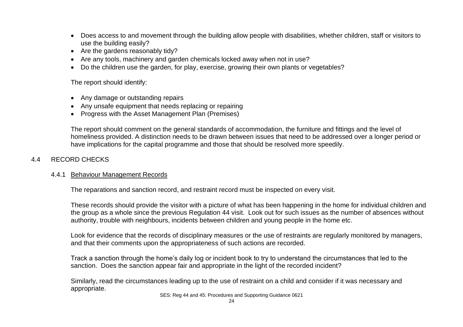- Does access to and movement through the building allow people with disabilities, whether children, staff or visitors to use the building easily?
- Are the gardens reasonably tidy?
- Are any tools, machinery and garden chemicals locked away when not in use?
- Do the children use the garden, for play, exercise, growing their own plants or vegetables?

The report should identify:

- Any damage or outstanding repairs
- Any unsafe equipment that needs replacing or repairing
- Progress with the Asset Management Plan (Premises)

The report should comment on the general standards of accommodation, the furniture and fittings and the level of homeliness provided. A distinction needs to be drawn between issues that need to be addressed over a longer period or have implications for the capital programme and those that should be resolved more speedily.

# 4.4 RECORD CHECKS

#### 4.4.1 Behaviour Management Records

The reparations and sanction record, and restraint record must be inspected on every visit.

These records should provide the visitor with a picture of what has been happening in the home for individual children and the group as a whole since the previous Regulation 44 visit. Look out for such issues as the number of absences without authority, trouble with neighbours, incidents between children and young people in the home etc.

Look for evidence that the records of disciplinary measures or the use of restraints are regularly monitored by managers, and that their comments upon the appropriateness of such actions are recorded.

Track a sanction through the home's daily log or incident book to try to understand the circumstances that led to the sanction. Does the sanction appear fair and appropriate in the light of the recorded incident?

Similarly, read the circumstances leading up to the use of restraint on a child and consider if it was necessary and appropriate.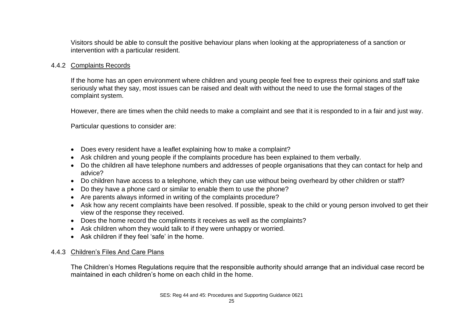Visitors should be able to consult the positive behaviour plans when looking at the appropriateness of a sanction or intervention with a particular resident.

#### 4.4.2 Complaints Records

If the home has an open environment where children and young people feel free to express their opinions and staff take seriously what they say, most issues can be raised and dealt with without the need to use the formal stages of the complaint system.

However, there are times when the child needs to make a complaint and see that it is responded to in a fair and just way.

Particular questions to consider are:

- Does every resident have a leaflet explaining how to make a complaint?
- Ask children and young people if the complaints procedure has been explained to them verbally.
- Do the children all have telephone numbers and addresses of people organisations that they can contact for help and advice?
- Do children have access to a telephone, which they can use without being overheard by other children or staff?
- Do they have a phone card or similar to enable them to use the phone?
- Are parents always informed in writing of the complaints procedure?
- Ask how any recent complaints have been resolved. If possible, speak to the child or young person involved to get their view of the response they received.
- Does the home record the compliments it receives as well as the complaints?
- Ask children whom they would talk to if they were unhappy or worried.
- Ask children if they feel 'safe' in the home.

# 4.4.3 Children's Files And Care Plans

The Children's Homes Regulations require that the responsible authority should arrange that an individual case record be maintained in each children's home on each child in the home.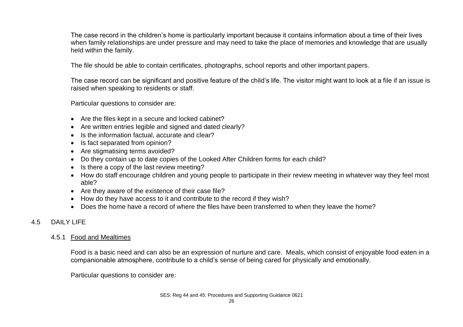The case record in the children's home is particularly important because it contains information about a time of their lives when family relationships are under pressure and may need to take the place of memories and knowledge that are usually held within the family.

The file should be able to contain certificates, photographs, school reports and other important papers.

The case record can be significant and positive feature of the child's life. The visitor might want to look at a file if an issue is raised when speaking to residents or staff.

Particular questions to consider are:

- Are the files kept in a secure and locked cabinet?
- Are written entries legible and signed and dated clearly?
- Is the information factual, accurate and clear?
- Is fact separated from opinion?
- Are stigmatising terms avoided?
- Do they contain up to date copies of the Looked After Children forms for each child?
- Is there a copy of the last review meeting?
- How do staff encourage children and young people to participate in their review meeting in whatever way they feel most able?
- Are they aware of the existence of their case file?
- How do they have access to it and contribute to the record if they wish?
- Does the home have a record of where the files have been transferred to when they leave the home?

# 4.5 DAILY LIFE

# 4.5.1 Food and Mealtimes

Food is a basic need and can also be an expression of nurture and care. Meals, which consist of enjoyable food eaten in a companionable atmosphere, contribute to a child's sense of being cared for physically and emotionally.

Particular questions to consider are: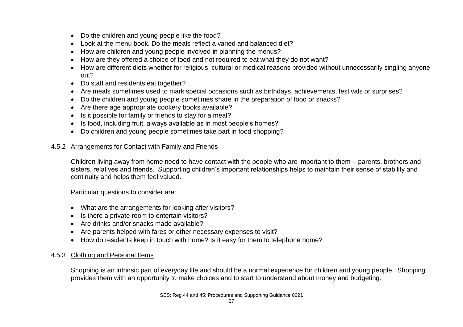- Do the children and young people like the food?
- Look at the menu book. Do the meals reflect a varied and balanced diet?
- How are children and young people involved in planning the menus?
- How are they offered a choice of food and not required to eat what they do not want?
- How are different diets whether for religious, cultural or medical reasons provided without unnecessarily singling anyone out?
- Do staff and residents eat together?
- Are meals sometimes used to mark special occasions such as birthdays, achievements, festivals or surprises?
- Do the children and young people sometimes share in the preparation of food or snacks?
- Are there age appropriate cookery books available?
- Is it possible for family or friends to stay for a meal?
- Is food, including fruit, always available as in most people's homes?
- Do children and young people sometimes take part in food shopping?

#### 4.5.2 Arrangements for Contact with Family and Friends

Children living away from home need to have contact with the people who are important to them – parents, brothers and sisters, relatives and friends. Supporting children's important relationships helps to maintain their sense of stability and continuity and helps them feel valued.

Particular questions to consider are:

- What are the arrangements for looking after visitors?
- Is there a private room to entertain visitors?
- Are drinks and/or snacks made available?
- Are parents helped with fares or other necessary expenses to visit?
- How do residents keep in touch with home? Is it easy for them to telephone home?

#### 4.5.3 Clothing and Personal Items

Shopping is an intrinsic part of everyday life and should be a normal experience for children and young people. Shopping provides them with an opportunity to make choices and to start to understand about money and budgeting.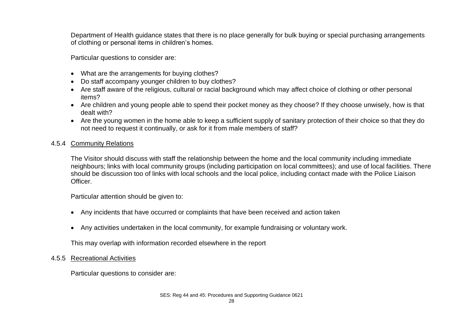Department of Health guidance states that there is no place generally for bulk buying or special purchasing arrangements of clothing or personal items in children's homes.

Particular questions to consider are:

- What are the arrangements for buying clothes?
- Do staff accompany younger children to buy clothes?
- Are staff aware of the religious, cultural or racial background which may affect choice of clothing or other personal items?
- Are children and young people able to spend their pocket money as they choose? If they choose unwisely, how is that dealt with?
- Are the young women in the home able to keep a sufficient supply of sanitary protection of their choice so that they do not need to request it continually, or ask for it from male members of staff?

#### 4.5.4 Community Relations

The Visitor should discuss with staff the relationship between the home and the local community including immediate neighbours; links with local community groups (including participation on local committees); and use of local facilities. There should be discussion too of links with local schools and the local police, including contact made with the Police Liaison Officer.

Particular attention should be given to:

- Any incidents that have occurred or complaints that have been received and action taken
- Any activities undertaken in the local community, for example fundraising or voluntary work.

This may overlap with information recorded elsewhere in the report

#### 4.5.5 Recreational Activities

Particular questions to consider are: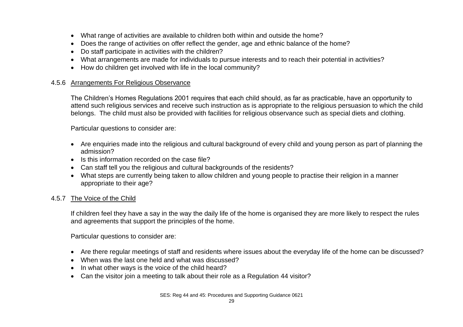- What range of activities are available to children both within and outside the home?
- Does the range of activities on offer reflect the gender, age and ethnic balance of the home?
- Do staff participate in activities with the children?
- What arrangements are made for individuals to pursue interests and to reach their potential in activities?
- How do children get involved with life in the local community?

#### 4.5.6 Arrangements For Religious Observance

The Children's Homes Regulations 2001 requires that each child should, as far as practicable, have an opportunity to attend such religious services and receive such instruction as is appropriate to the religious persuasion to which the child belongs. The child must also be provided with facilities for religious observance such as special diets and clothing.

Particular questions to consider are:

- Are enquiries made into the religious and cultural background of every child and young person as part of planning the admission?
- Is this information recorded on the case file?
- Can staff tell you the religious and cultural backgrounds of the residents?
- What steps are currently being taken to allow children and young people to practise their religion in a manner appropriate to their age?

#### 4.5.7 The Voice of the Child

If children feel they have a say in the way the daily life of the home is organised they are more likely to respect the rules and agreements that support the principles of the home.

Particular questions to consider are:

- Are there regular meetings of staff and residents where issues about the everyday life of the home can be discussed?
- When was the last one held and what was discussed?
- In what other ways is the voice of the child heard?
- Can the visitor join a meeting to talk about their role as a Regulation 44 visitor?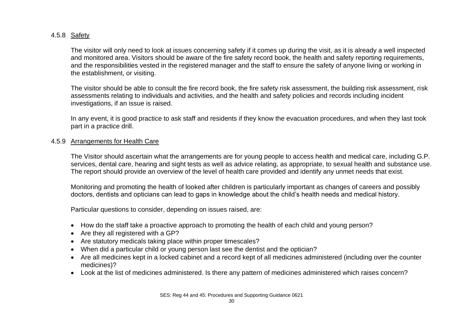# 4.5.8 Safety

The visitor will only need to look at issues concerning safety if it comes up during the visit, as it is already a well inspected and monitored area. Visitors should be aware of the fire safety record book, the health and safety reporting requirements, and the responsibilities vested in the registered manager and the staff to ensure the safety of anyone living or working in the establishment, or visiting.

The visitor should be able to consult the fire record book, the fire safety risk assessment, the building risk assessment, risk assessments relating to individuals and activities, and the health and safety policies and records including incident investigations, if an issue is raised.

In any event, it is good practice to ask staff and residents if they know the evacuation procedures, and when they last took part in a practice drill.

#### 4.5.9 Arrangements for Health Care

The Visitor should ascertain what the arrangements are for young people to access health and medical care, including G.P. services, dental care, hearing and sight tests as well as advice relating, as appropriate, to sexual health and substance use. The report should provide an overview of the level of health care provided and identify any unmet needs that exist.

Monitoring and promoting the health of looked after children is particularly important as changes of careers and possibly doctors, dentists and opticians can lead to gaps in knowledge about the child's health needs and medical history.

Particular questions to consider, depending on issues raised, are:

- How do the staff take a proactive approach to promoting the health of each child and young person?
- Are they all registered with a GP?
- Are statutory medicals taking place within proper timescales?
- When did a particular child or young person last see the dentist and the optician?
- Are all medicines kept in a locked cabinet and a record kept of all medicines administered (including over the counter medicines)?
- Look at the list of medicines administered. Is there any pattern of medicines administered which raises concern?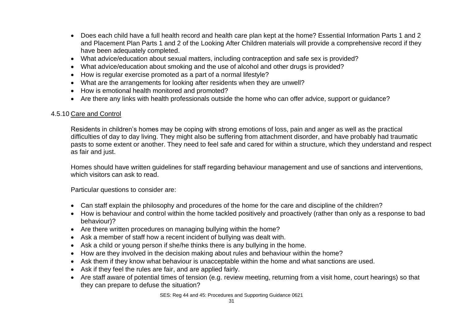- Does each child have a full health record and health care plan kept at the home? Essential Information Parts 1 and 2 and Placement Plan Parts 1 and 2 of the Looking After Children materials will provide a comprehensive record if they have been adequately completed.
- What advice/education about sexual matters, including contraception and safe sex is provided?
- What advice/education about smoking and the use of alcohol and other drugs is provided?
- How is regular exercise promoted as a part of a normal lifestyle?
- What are the arrangements for looking after residents when they are unwell?
- How is emotional health monitored and promoted?
- Are there any links with health professionals outside the home who can offer advice, support or guidance?

#### 4.5.10 Care and Control

Residents in children's homes may be coping with strong emotions of loss, pain and anger as well as the practical difficulties of day to day living. They might also be suffering from attachment disorder, and have probably had traumatic pasts to some extent or another. They need to feel safe and cared for within a structure, which they understand and respect as fair and just.

Homes should have written guidelines for staff regarding behaviour management and use of sanctions and interventions, which visitors can ask to read.

Particular questions to consider are:

- Can staff explain the philosophy and procedures of the home for the care and discipline of the children?
- How is behaviour and control within the home tackled positively and proactively (rather than only as a response to bad behaviour)?
- Are there written procedures on managing bullying within the home?
- Ask a member of staff how a recent incident of bullying was dealt with.
- Ask a child or young person if she/he thinks there is any bullying in the home.
- How are they involved in the decision making about rules and behaviour within the home?
- Ask them if they know what behaviour is unacceptable within the home and what sanctions are used.
- Ask if they feel the rules are fair, and are applied fairly.
- Are staff aware of potential times of tension (e.g. review meeting, returning from a visit home, court hearings) so that they can prepare to defuse the situation?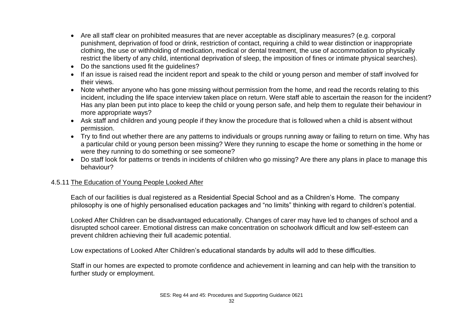- Are all staff clear on prohibited measures that are never acceptable as disciplinary measures? (e.g. corporal punishment, deprivation of food or drink, restriction of contact, requiring a child to wear distinction or inappropriate clothing, the use or withholding of medication, medical or dental treatment, the use of accommodation to physically restrict the liberty of any child, intentional deprivation of sleep, the imposition of fines or intimate physical searches).
- Do the sanctions used fit the quidelines?
- If an issue is raised read the incident report and speak to the child or young person and member of staff involved for their views.
- Note whether anyone who has gone missing without permission from the home, and read the records relating to this incident, including the life space interview taken place on return. Were staff able to ascertain the reason for the incident? Has any plan been put into place to keep the child or young person safe, and help them to regulate their behaviour in more appropriate ways?
- Ask staff and children and young people if they know the procedure that is followed when a child is absent without permission.
- Try to find out whether there are any patterns to individuals or groups running away or failing to return on time. Why has a particular child or young person been missing? Were they running to escape the home or something in the home or were they running to do something or see someone?
- Do staff look for patterns or trends in incidents of children who go missing? Are there any plans in place to manage this behaviour?

#### 4.5.11 The Education of Young People Looked After

Each of our facilities is dual registered as a Residential Special School and as a Children's Home. The company philosophy is one of highly personalised education packages and "no limits" thinking with regard to children's potential.

Looked After Children can be disadvantaged educationally. Changes of carer may have led to changes of school and a disrupted school career. Emotional distress can make concentration on schoolwork difficult and low self-esteem can prevent children achieving their full academic potential.

Low expectations of Looked After Children's educational standards by adults will add to these difficulties.

Staff in our homes are expected to promote confidence and achievement in learning and can help with the transition to further study or employment.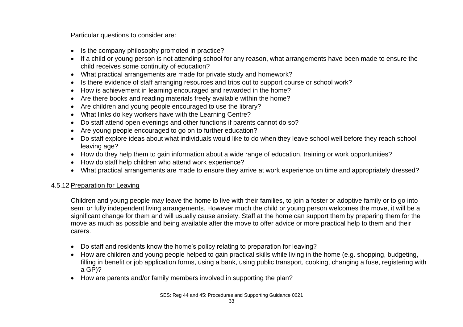Particular questions to consider are:

- Is the company philosophy promoted in practice?
- If a child or young person is not attending school for any reason, what arrangements have been made to ensure the child receives some continuity of education?
- What practical arrangements are made for private study and homework?
- Is there evidence of staff arranging resources and trips out to support course or school work?
- How is achievement in learning encouraged and rewarded in the home?
- Are there books and reading materials freely available within the home?
- Are children and young people encouraged to use the library?
- What links do key workers have with the Learning Centre?
- Do staff attend open evenings and other functions if parents cannot do so?
- Are young people encouraged to go on to further education?
- Do staff explore ideas about what individuals would like to do when they leave school well before they reach school leaving age?
- How do they help them to gain information about a wide range of education, training or work opportunities?
- How do staff help children who attend work experience?
- What practical arrangements are made to ensure they arrive at work experience on time and appropriately dressed?

# 4.5.12 Preparation for Leaving

Children and young people may leave the home to live with their families, to join a foster or adoptive family or to go into semi or fully independent living arrangements. However much the child or young person welcomes the move, it will be a significant change for them and will usually cause anxiety. Staff at the home can support them by preparing them for the move as much as possible and being available after the move to offer advice or more practical help to them and their carers.

- Do staff and residents know the home's policy relating to preparation for leaving?
- How are children and young people helped to gain practical skills while living in the home (e.g. shopping, budgeting, filling in benefit or job application forms, using a bank, using public transport, cooking, changing a fuse, registering with a GP)?
- How are parents and/or family members involved in supporting the plan?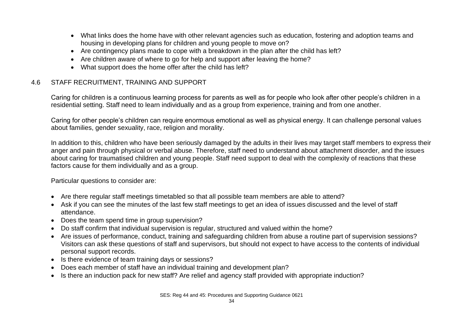- What links does the home have with other relevant agencies such as education, fostering and adoption teams and housing in developing plans for children and young people to move on?
- Are contingency plans made to cope with a breakdown in the plan after the child has left?
- Are children aware of where to go for help and support after leaving the home?
- What support does the home offer after the child has left?

# 4.6 STAFF RECRUITMENT, TRAINING AND SUPPORT

Caring for children is a continuous learning process for parents as well as for people who look after other people's children in a residential setting. Staff need to learn individually and as a group from experience, training and from one another.

Caring for other people's children can require enormous emotional as well as physical energy. It can challenge personal values about families, gender sexuality, race, religion and morality.

In addition to this, children who have been seriously damaged by the adults in their lives may target staff members to express their anger and pain through physical or verbal abuse. Therefore, staff need to understand about attachment disorder, and the issues about caring for traumatised children and young people. Staff need support to deal with the complexity of reactions that these factors cause for them individually and as a group.

Particular questions to consider are:

- Are there regular staff meetings timetabled so that all possible team members are able to attend?
- Ask if you can see the minutes of the last few staff meetings to get an idea of issues discussed and the level of staff attendance.
- Does the team spend time in group supervision?
- Do staff confirm that individual supervision is regular, structured and valued within the home?
- Are issues of performance, conduct, training and safeguarding children from abuse a routine part of supervision sessions? Visitors can ask these questions of staff and supervisors, but should not expect to have access to the contents of individual personal support records.
- Is there evidence of team training days or sessions?
- Does each member of staff have an individual training and development plan?
- Is there an induction pack for new staff? Are relief and agency staff provided with appropriate induction?